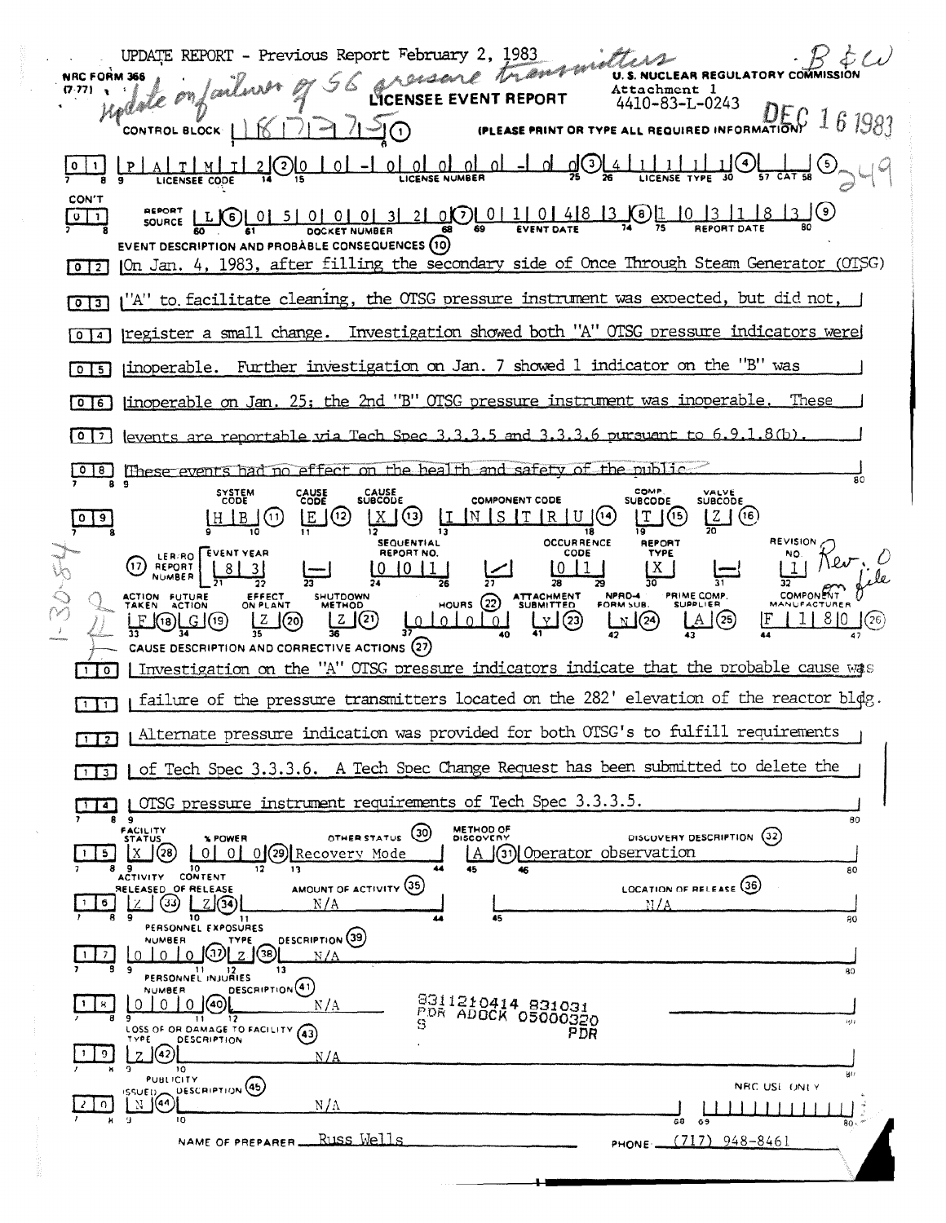UPDATE REPORT - Previous Report February 2, 1983  $\kappa$  that CREASEAR Tranch NRC FORM 366 **U.S. NUCLEAR REGULATORY CON** Jarlina  $(7.77)$   $\rightarrow$ Attachment 1 date onf 4410-83-L-0243 (PLEASE PRINT OR TYPE ALL REQUIRED INFORMATION  $161983$  $420$ CONTROL BLOCK  $\mathbb{K}^ \frac{1}{20}$  $0$   $0$ AITIMI اɪ <u>ol ol ol -l</u> <u> 1 | 1 |</u>  $1<sup>1</sup>$  $\left( 2\right)$  $\overline{0}$  $-1$ <u>\_oL</u> LICENSE TYPE CON'T  $210000110148301$ <u> 18 13 JO</u> **DEBORT** SOURCE LLGL01  $5$ | 0 | 0 | 0 | 3 |  $\sqrt{0}$ **EVENT DATE** DOCKET NUMBER EVENT DESCRIPTION AND PROBABLE CONSEQUENCES (10) 012 | On Jan. 4, 1983, after filling the secondary side of Once Through Steam Generator (OTSG) [0][3] ("A" to facilitate cleaning, the OTSG pressure instrument was expected, but did not, [0] 4] | register a small change. Investigation showed both "A" OTSG pressure indicators were [0] 5] inoperable. Further investigation on Jan. 7 showed 1 indicator on the "B" was [0]6] linoperable on Jan. 25; the 2nd "B" OTSG pressure instrument was inoperable. These  $\boxed{0}$  |?] levents are reportable via Tech Spec 3.3.3.5 and 3.3.3.6 pursuant to 6.9.1.8(b) [0]8] These events had no effect on the health and safety of the public. COMP.<br>SUBCODE SYSTEM<br>CODE CAUSE<br>CODE CAUSE<br>SUBCODE VALVE<br>SUBCODE COMPONENT CODE  $\frac{2}{20}$  (6)  $X(3)$  II  $09$  $HIB(1)$  $E(12)$  $N$  S T R U  $(14)$  $T(5)$  $\overline{13}$ 18  $12$ **SEQUENTIAL OCCURRENCE REVISION** REPORT **EVENT YEAR REPORT NO.** CODE TYPF **NO** LER/RO  $\perp$ l  $\pi$ e  $(17)$ REPORT  $8<sup>1</sup>$  $0011$  $0<sub>11</sub>$ 1 X  $\overline{3}$  $\overline{11}$  $\overline{28}$ 50 37 **PRIME COMP.**<br>SUPPLIER **COMPONEN** SHUTDOWN<br>METHOD **ATTACHMENT**<br>SUBMITTED NPRD-4 ACTION FUTURE EFFECT<br>ON PLANT  $HOWRS$   $(22)$  $\underbrace{\begin{bmatrix} Z \\ 36 \end{bmatrix}}\begin{bmatrix} Q \\ 2 \end{bmatrix}$  $1|8|0$ <u>E @re</u> Z لملململها هاليا  $\mathbb{Z}^{(24)}$  $A(25)$  $(26)$  $\mathsf{J}^{(20)}$ ĮF J(19) CAUSE DESCRIPTION AND CORRECTIVE ACTIONS (27) Investigation on the "A" OTSG pressure indicators indicate that the probable cause was  $\Box$ I failure of the pressure transmitters located on the 282' elevation of the reactor bldg.  $\Box$ [172] [Alternate pressure indication was provided for both OTSG's to fulfill requirements [1] Of Tech Spec 3.3.3.6. A Tech Spec Change Request has been submitted to delete the | OTSG pressure instrument requirements of Tech Spec 3.3.3.5.  $\Box$  $\overline{9}$ 80 **FACILITY**<br>STATUS METHOD OF<br>DISCOVERY OTHER STATUS (30) DISCOVERY DESCRIPTION (32) **% POWER** A (31) Operator observation 0 0 0 29 Recovery Mode  $\lfloor x \rfloor$  (28)  $\lfloor x \rfloor$  $5<sub>1</sub>$ ACTIVITY CONTENT 80 AMOUNT OF ACTIVITY (35) **LOCATION OF RELEASE (36)** RELEASED OF RELEASE ြော <u>ပြ</u>ော (အကြော)<br>မြောက် (အကြော  $M/A$ N/A 10 11<br>PERSONNEL EXPOSURES Æ 80 DESCRIPTION (39) **NUMBER TYPE** 0 0 0 0 2 0 2 N / A PERSONNEL INJURIES DESCRIPTION<sup>(41)</sup> **NUMBER** B311210414 831031<br>PDR ADOCK 05000320  $01000$  $\vert \cdot \vert$   $\vert$   $\vert$  $N/A$  $\overline{\mathbf{D}}$ 9<br>LOSS OF OR DAMAGE TO FACILITY (43) PDR **DESCRIPTION**  $\vert \cdot \vert \circ \vert$  $2(42)$  $N/A$  $\overline{10}$ PUBLICITY DESCRIPTION (45) NRC USE ONLY SSUED **ENG**  $\left[ 2 \right]$   $\left[ 0 \right]$  $N/\Lambda$ NAME OF PREPARER RUSS Wells PHONE  $(717)$  948-8461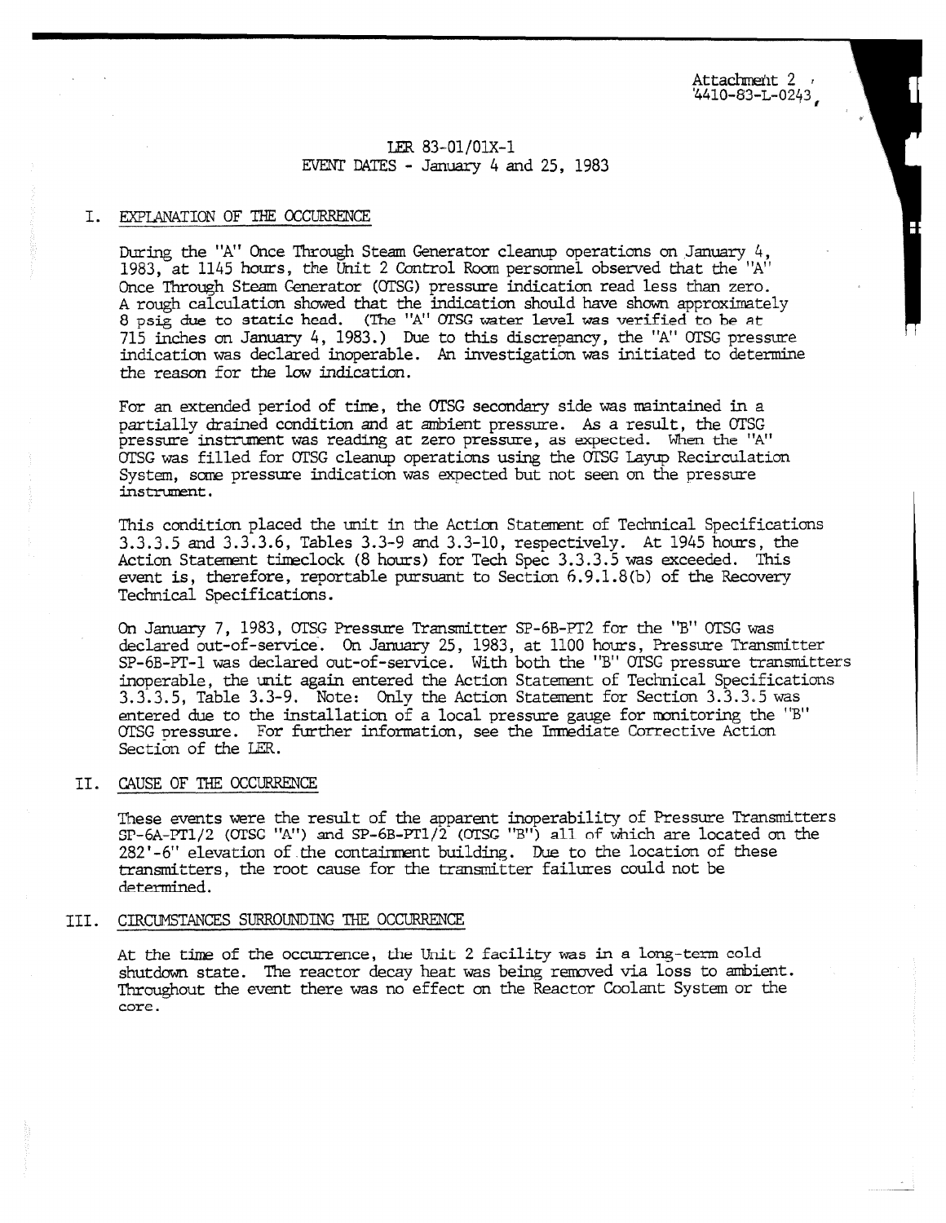Attachment 2 4410-83-L-0243,

## LER 83-01/01X-1 EVENT DATES - January 4 and 25, 1983

#### I. EXPLANATION OF THE OCCURRENCE

During the "A" Once Through Steam Generator cleanup operations on January 4, 1983, at 1145 hours, the Unit 2 Control Room personnel observed that the "A" Once Through Steam Generator (OTSG) pressure indication read less than zero. A rough calculation showed that the indication should have shown approximately 8 psig due to static head. (The "A" OTSC water level *was* verified to be at 715 inches on January 4, 1983.) Due to this discrepancy, the "A" OTSG pressure indication was declared inoperable. An investigation was initiated to determine the reason for the low indication.

For an extended period of time, the OTSG secondary side was maintained in a partially drained condition and at ambient pressure. *As* a result, the OTSG pressure instrument was reading at zero pressure, as expected. When the "A" OTSG was filled for OTSG cleanup operations using the OTSG Layup Recirculation System, some pressure indication was expected but not seen on the pressure instrument.

This condition placed the unit in the Action Statement of Technical Specifications 3.3.3.5 and 3.3.3.6, Tables 3.3-9 and 3.3-10, respectively. At 1945 hours, the Action Statement timeclock (8 hours) for Tech Spec 3.3.3.5 was exceeded. This event **is,** therefore, reportable pursuant to Section 6.9.1.8(b) of the Recovery Technical Specifications.

On January 7, 1983, OTSG Pressure Transmitter SP-6B-PT2 for the "B" OTSG was declared out-of-service. On January 25, 1983, at 1100 hours, Pressure Transmitter SP-6B-PT-1 was declared out-of-service. With both the "B" OTSG pressure transmitters inoperable, the unit again entered the Action Statement of Technical Specifications 3.3.3.5, Table 3.3-9. Note: Only the Action Statement for Section 3.3.3.5 was entered due to the installation of a local pressure gauge for monitoring the "B" OTSG pressure. For further information, see the Immediate Corrective Action Section of the LER.

# II. CAUSE OF THE OCCURRENCE

These events were the result of the apparent inoperability of Pressure Transmitters SP-6A-PT1/2 (OTSG "A") and SP-6B-PT1/2 ((YTSG "B") all *of* which are located on the 282'-6" elevation of the containment building. Due to the location of these transmitters, the root cause for the transmitter failures could not be determined.

#### III. CIRCUMSTANCES SURROUNDING THE OCCURRENCE

At the time of the occurrence, the Unit 2 facility was in a long-term cold shutdown state. The reactor decay heat was being removed via loss to ambient. Throughout the event there was no effect on the Reactor Coolant System or the core.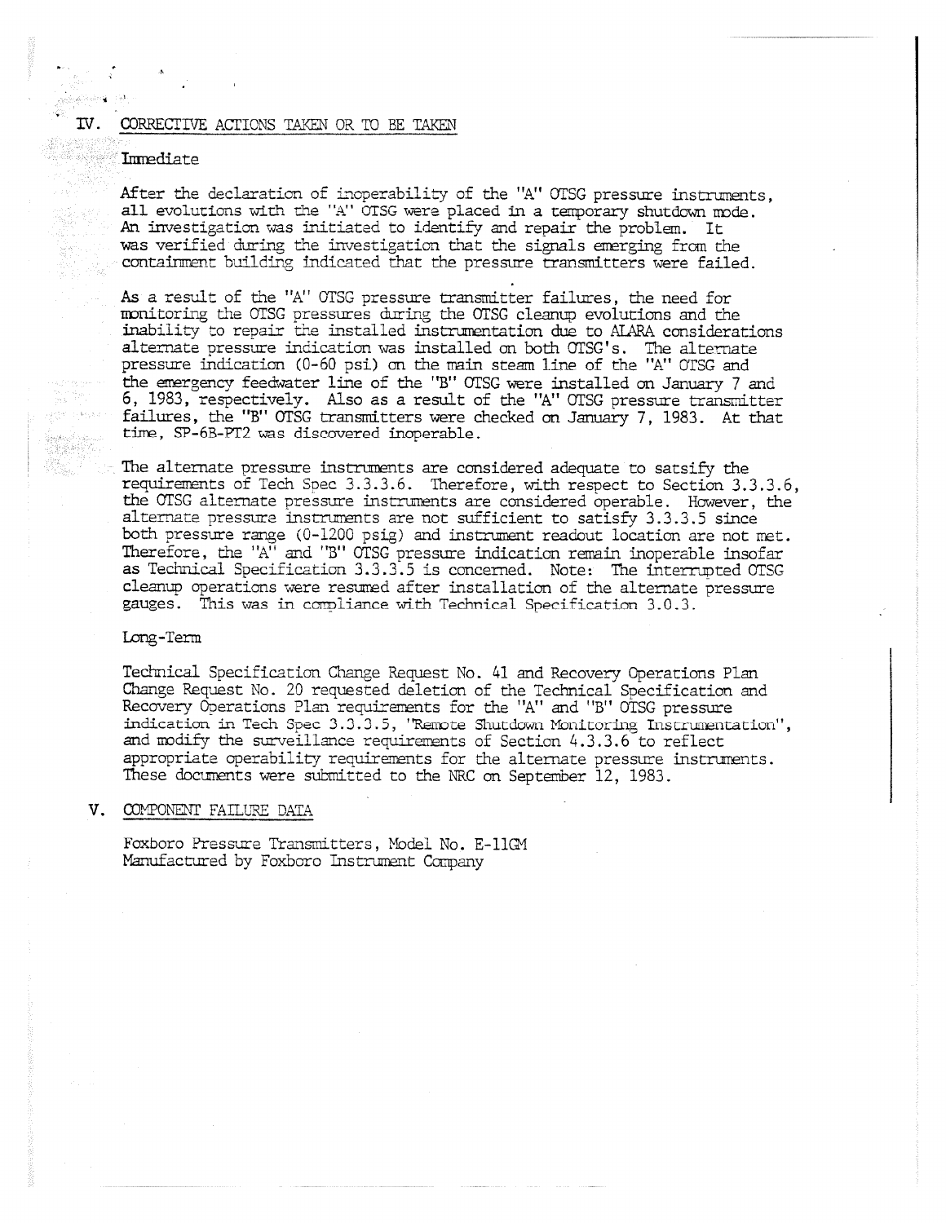#### IV. CORRECTIVE ACTIONS TAKEN OR TO BE TAKEN

#### Immediate

atan ng Pap

antes de la<br>Comparte

After the declaration of inoperability of the "A" OTSG pressure instruments, all evolutions with the "A" OTSG were placed in a temporary shutdown mode. An investigation was initiated to identify and repair the problem. It was verified during the investigation that the signals emerging from the containment building indicated that the pressure transmitters were failed.

As a result of the "A" OTSG pressure transmitter failures, the need for monitoring the OTSG pressures during the OTSG cleanup evolutions and the inability to repair the installed instrumentation due to AIARA considerations alternate pressure indication was installed on both OTSG' s. The alternate pressure indication (0-60 psi) on the main steam line of the "A" OTSG and the emergency feedwater line of the "B" OTSG were installed an January 7 and 6, 1983, respectively. Also as a result of the "A" OTSG pressure transmitter failures, the "B" OTSG transmitters were checked on January 7, 1983. At that time, SP-6B-PT2 was discovered inoperable.

The alternate pressure instruments are considered adequate to satsify the requirements of Tech Spec 3.3.3.6. Therefore, with respect to Section 3.3.3.6, the OTSG alternate pressure instruments are considered operable. However, the alternate pressure instruments are not sufficient to satisfy 3.3.3.5 since both pressure range (0-1200 psig) and instrument readout location are not met. Therefore, the "A" and "B" OTSG pressure indication remain inoperable insofar as Technical Specification 3.3.3.5 is concerned. Note: The interrupted OTSG cleanup operations were resumed after installation of the alternate pressure gauges. This was in compliance with Technical Specification 3.0.3.

#### Long-Term

Technical Specification Change Request No. 41 and Recovery Operations Plan Change Request No. 20 requested deletion of the Technical Specification and Recovery Operations Plan requirements for the "A" and "B" OTSG pressure indication in Tech Spec 3.3.3.5, "Remote Shutdown Monitoring Instrumentation", and modify the surveillance requirements of Section 4.3.3.6 to reflect appropriate operability requirements for the alternate pressure instruments. These documents were submitted to the NRC on September 12, 1983.

#### V. COMPONENT FAILURE DATA

Foxboro Pressure Transmitters, Model No. E-11GM Manufactured by Foxboro Instrument Company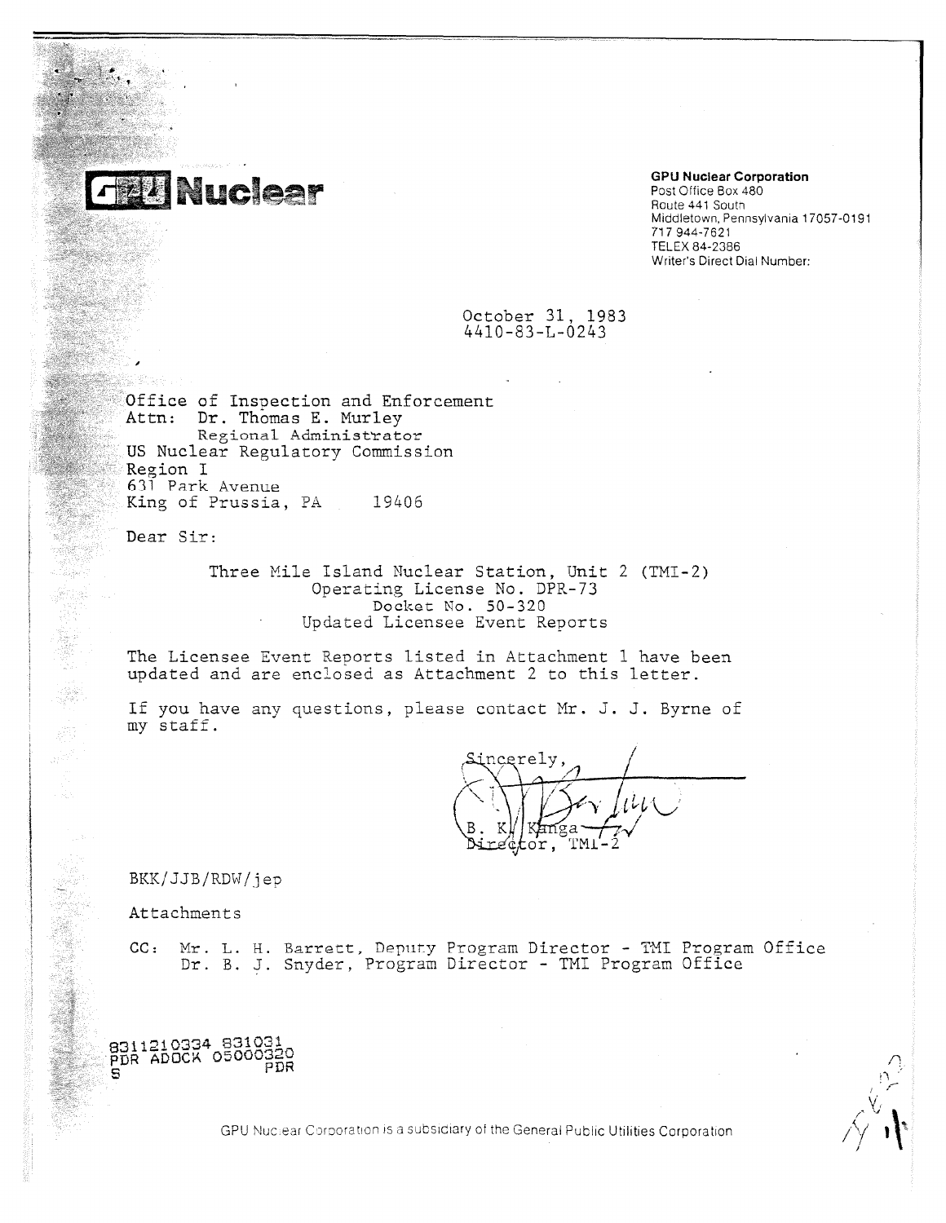

# **GPU Nuclear Corporation**

Post Office Box 480 Route 441 Soutn Middletown, Pennsylvania 17057-0191 717 944-7621 TELEX 84-2386 Writer's Direct Dial Number:

## October 31, 1983 4410-83-L-0243

Office of Insoection and Enforcement Attn: Dr. Thomas E. Murley Regional Administrator US Nuclear Regulatory Commission Region I 631 Park Avenue King of Prussia, PA 19406

Dear Sir:

Three Mile Island Nuclear Station, Unit 2 (TMI-2) Operating License No. DPR-73 Docket No. 50-320 Updated Licensee Event Reports

The Licensee Event Reports listed in Attachment 1 have been updated and are enclosed as Attachment 2 to this letter.

If you have any questions, please contact Mr. J. J. Byrne of my staff.

ncerely. reçtor, TM.

BKK/JJB/RDW/jep

Attachments

8311210334 831031 PDR ADOCK 05000325

PDR

8

CC: Mr. L. H. Barrett, Deputy Program Director - TMI Program Office Dr. B. J. Snyder, Program Director - TMI Program Office

GPU Nuclear Corporation is a subsidiary of the General Public Utilities Corporation